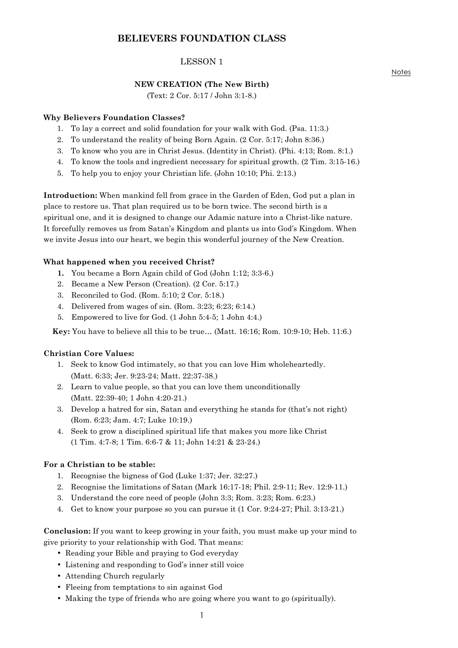# **BELIEVERS FOUNDATION CLASS**

# LESSON 1

### **NEW CREATION (The New Birth)**

(Text: 2 Cor. 5:17 / John 3:1-8.)

### **Why Believers Foundation Classes?**

- 1. To lay a correct and solid foundation for your walk with God. (Psa. 11:3.)
- 2. To understand the reality of being Born Again. (2 Cor. 5:17; John 8:36.)
- 3. To know who you are in Christ Jesus. (Identity in Christ). (Phi. 4:13; Rom. 8:1.)
- 4. To know the tools and ingredient necessary for spiritual growth. (2 Tim. 3:15-16.)
- 5. To help you to enjoy your Christian life. (John 10:10; Phi. 2:13.)

**Introduction:** When mankind fell from grace in the Garden of Eden, God put a plan in place to restore us. That plan required us to be born twice. The second birth is a spiritual one, and it is designed to change our Adamic nature into a Christ-like nature. It forcefully removes us from Satan's Kingdom and plants us into God's Kingdom. When we invite Jesus into our heart, we begin this wonderful journey of the New Creation.

#### **What happened when you received Christ?**

- **1.** You became a Born Again child of God (John 1:12; 3:3-6.)
- 2. Became a New Person (Creation). (2 Cor. 5:17.)
- 3. Reconciled to God. (Rom. 5:10; 2 Cor. 5:18.)
- 4. Delivered from wages of sin. (Rom. 3:23; 6:23; 6:14.)
- 5. Empowered to live for God. (1 John 5:4-5; 1 John 4:4.)

 **Key:** You have to believe all this to be true… (Matt. 16:16; Rom. 10:9-10; Heb. 11:6.)

#### **Christian Core Values:**

- 1. Seek to know God intimately, so that you can love Him wholeheartedly. (Matt. 6:33; Jer. 9:23-24; Matt. 22:37-38.)
- 2. Learn to value people, so that you can love them unconditionally (Matt. 22:39-40; 1 John 4:20-21.)
- 3. Develop a hatred for sin, Satan and everything he stands for (that's not right) (Rom. 6:23; Jam. 4:7; Luke 10:19.)
- 4. Seek to grow a disciplined spiritual life that makes you more like Christ (1 Tim. 4:7-8; 1 Tim. 6:6-7 & 11; John 14:21 & 23-24.)

#### **For a Christian to be stable:**

- 1. Recognise the bigness of God (Luke 1:37; Jer. 32:27.)
- 2. Recognise the limitations of Satan (Mark 16:17-18; Phil. 2:9-11; Rev. 12:9-11.)
- 3. Understand the core need of people (John 3:3; Rom. 3:23; Rom. 6:23.)
- 4. Get to know your purpose so you can pursue it (1 Cor. 9:24-27; Phil. 3:13-21.)

**Conclusion:** If you want to keep growing in your faith, you must make up your mind to give priority to your relationship with God. That means:

- Reading your Bible and praying to God everyday
- Listening and responding to God's inner still voice
- Attending Church regularly
- Fleeing from temptations to sin against God
- Making the type of friends who are going where you want to go (spiritually).

**Notes**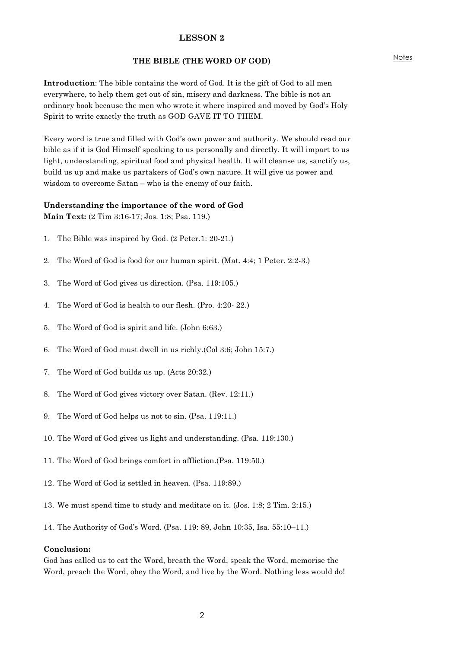#### **THE BIBLE (THE WORD OF GOD)**

**Introduction**: The bible contains the word of God. It is the gift of God to all men everywhere, to help them get out of sin, misery and darkness. The bible is not an ordinary book because the men who wrote it where inspired and moved by God's Holy Spirit to write exactly the truth as GOD GAVE IT TO THEM.

Every word is true and filled with God's own power and authority. We should read our bible as if it is God Himself speaking to us personally and directly. It will impart to us light, understanding, spiritual food and physical health. It will cleanse us, sanctify us, build us up and make us partakers of God's own nature. It will give us power and wisdom to overcome Satan – who is the enemy of our faith.

# **Understanding the importance of the word of God**

**Main Text:** (2 Tim 3:16-17; Jos. 1:8; Psa. 119.)

- 1. The Bible was inspired by God. (2 Peter.1: 20-21.)
- 2. The Word of God is food for our human spirit. (Mat. 4:4; 1 Peter. 2:2-3.)
- 3. The Word of God gives us direction. (Psa. 119:105.)
- 4. The Word of God is health to our flesh. (Pro. 4:20- 22.)
- 5. The Word of God is spirit and life. (John 6:63.)
- 6. The Word of God must dwell in us richly.(Col 3:6; John 15:7.)
- 7. The Word of God builds us up. (Acts 20:32.)
- 8. The Word of God gives victory over Satan. (Rev. 12:11.)
- 9. The Word of God helps us not to sin. (Psa. 119:11.)
- 10. The Word of God gives us light and understanding. (Psa. 119:130.)
- 11. The Word of God brings comfort in affliction.(Psa. 119:50.)
- 12. The Word of God is settled in heaven. (Psa. 119:89.)
- 13. We must spend time to study and meditate on it. (Jos. 1:8; 2 Tim. 2:15.)
- 14. The Authority of God's Word. (Psa. 119: 89, John 10:35, Isa. 55:10–11.)

#### **Conclusion:**

God has called us to eat the Word, breath the Word, speak the Word, memorise the Word, preach the Word, obey the Word, and live by the Word. Nothing less would do!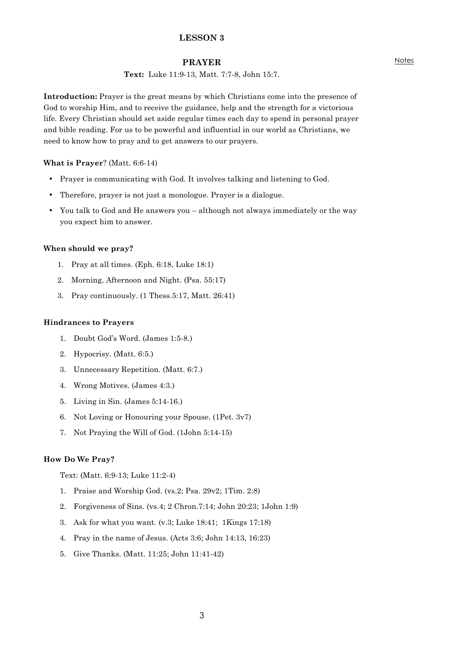### **PRAYER**

## **Text:** Luke 11:9-13, Matt. 7:7-8, John 15:7.

**Introduction:** Prayer is the great means by which Christians come into the presence of God to worship Him, and to receive the guidance, help and the strength for a victorious life. Every Christian should set aside regular times each day to spend in personal prayer and bible reading. For us to be powerful and influential in our world as Christians, we need to know how to pray and to get answers to our prayers.

#### **What is Prayer**? (Matt. 6:6-14)

- Prayer is communicating with God. It involves talking and listening to God.
- Therefore, prayer is not just a monologue. Prayer is a dialogue.
- You talk to God and He answers you although not always immediately or the way you expect him to answer.

#### **When should we pray?**

- 1. Pray at all times. (Eph. 6:18, Luke 18:1)
- 2. Morning, Afternoon and Night. (Psa. 55:17)
- 3. Pray continuously. (1 Thess.5:17, Matt. 26:41)

#### **Hindrances to Prayers**

- 1. Doubt God's Word. (James 1:5-8.)
- 2. Hypocrisy. (Matt. 6:5.)
- 3. Unnecessary Repetition. (Matt. 6:7.)
- 4. Wrong Motives. (James 4:3.)
- 5. Living in Sin. (James 5:14-16.)
- 6. Not Loving or Honouring your Spouse. (1Pet. 3v7)
- 7. Not Praying the Will of God. (1John 5:14-15)

### **How Do We Pray?**

Text: (Matt. 6:9-13; Luke 11:2-4)

- 1. Praise and Worship God. (vs.2; Psa. 29v2; 1Tim. 2:8)
- 2. Forgiveness of Sins. (vs.4; 2 Chron.7:14; John 20:23; 1John 1:9)
- 3. Ask for what you want. (v.3; Luke 18:41; 1Kings 17:18)
- 4. Pray in the name of Jesus. (Acts 3:6; John 14:13, 16:23)
- 5. Give Thanks. (Matt. 11:25; John 11:41-42)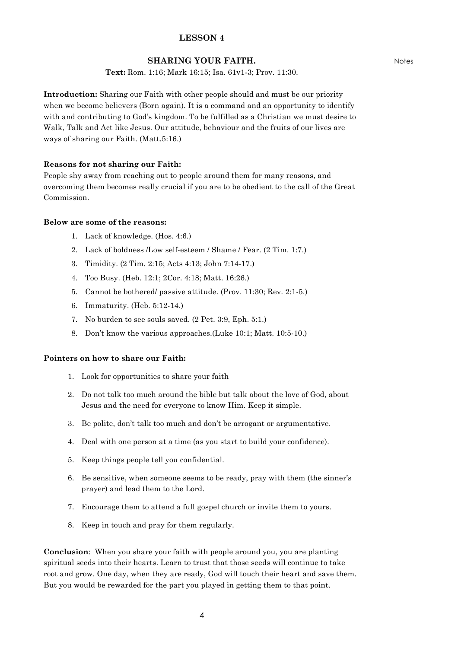## **SHARING YOUR FAITH.**

**Text:** Rom. 1:16; Mark 16:15; Isa. 61v1-3; Prov. 11:30.

**Introduction:** Sharing our Faith with other people should and must be our priority when we become believers (Born again). It is a command and an opportunity to identify with and contributing to God's kingdom. To be fulfilled as a Christian we must desire to Walk, Talk and Act like Jesus. Our attitude, behaviour and the fruits of our lives are ways of sharing our Faith. (Matt.5:16.)

## **Reasons for not sharing our Faith:**

People shy away from reaching out to people around them for many reasons, and overcoming them becomes really crucial if you are to be obedient to the call of the Great Commission.

## **Below are some of the reasons:**

- 1. Lack of knowledge. (Hos. 4:6.)
- 2. Lack of boldness /Low self-esteem / Shame / Fear. (2 Tim. 1:7.)
- 3. Timidity. (2 Tim. 2:15; Acts 4:13; John 7:14-17.)
- 4. Too Busy. (Heb. 12:1; 2Cor. 4:18; Matt. 16:26.)
- 5. Cannot be bothered/ passive attitude. (Prov. 11:30; Rev. 2:1-5.)
- 6. Immaturity. (Heb. 5:12-14.)
- 7. No burden to see souls saved. (2 Pet. 3:9, Eph. 5:1.)
- 8. Don't know the various approaches.(Luke 10:1; Matt. 10:5-10.)

### **Pointers on how to share our Faith:**

- 1. Look for opportunities to share your faith
- 2. Do not talk too much around the bible but talk about the love of God, about Jesus and the need for everyone to know Him. Keep it simple.
- 3. Be polite, don't talk too much and don't be arrogant or argumentative.
- 4. Deal with one person at a time (as you start to build your confidence).
- 5. Keep things people tell you confidential.
- 6. Be sensitive, when someone seems to be ready, pray with them (the sinner's prayer) and lead them to the Lord.
- 7. Encourage them to attend a full gospel church or invite them to yours.
- 8. Keep in touch and pray for them regularly.

**Conclusion**: When you share your faith with people around you, you are planting spiritual seeds into their hearts. Learn to trust that those seeds will continue to take root and grow. One day, when they are ready, God will touch their heart and save them. But you would be rewarded for the part you played in getting them to that point.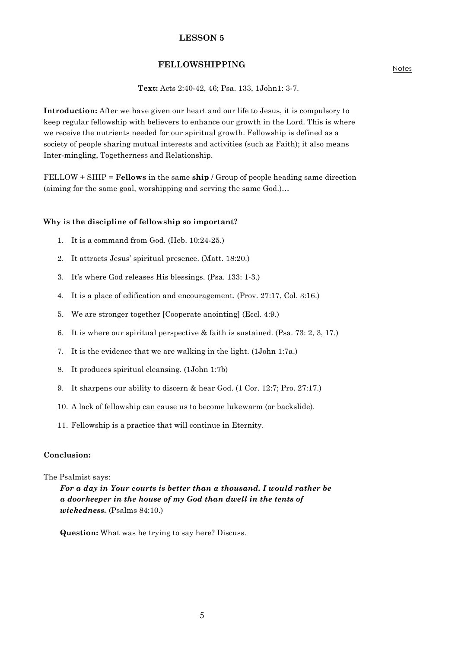### **FELLOWSHIPPING**

**Text:** Acts 2:40-42, 46; Psa. 133, 1John1: 3-7.

**Introduction:** After we have given our heart and our life to Jesus, it is compulsory to keep regular fellowship with believers to enhance our growth in the Lord. This is where we receive the nutrients needed for our spiritual growth. Fellowship is defined as a society of people sharing mutual interests and activities (such as Faith); it also means Inter-mingling, Togetherness and Relationship.

FELLOW + SHIP = **Fellows** in the same **ship** / Group of people heading same direction (aiming for the same goal, worshipping and serving the same God.)…

#### **Why is the discipline of fellowship so important?**

- 1. It is a command from God. (Heb. 10:24-25.)
- 2. It attracts Jesus' spiritual presence. (Matt. 18:20.)
- 3. It's where God releases His blessings. (Psa. 133: 1-3.)
- 4. It is a place of edification and encouragement. (Prov. 27:17, Col. 3:16.)
- 5. We are stronger together [Cooperate anointing] (Eccl. 4:9.)
- 6. It is where our spiritual perspective & faith is sustained. (Psa. 73: 2, 3, 17.)
- 7. It is the evidence that we are walking in the light. (1John 1:7a.)
- 8. It produces spiritual cleansing. (1John 1:7b)
- 9. It sharpens our ability to discern & hear God. (1 Cor. 12:7; Pro. 27:17.)
- 10. A lack of fellowship can cause us to become lukewarm (or backslide).
- 11. Fellowship is a practice that will continue in Eternity.

#### **Conclusion:**

#### The Psalmist says:

*For a day in Your courts is better than a thousand. I would rather be a doorkeeper in the house of my God than dwell in the tents of wickedness.* (Psalms 84:10.)

**Question:** What was he trying to say here? Discuss.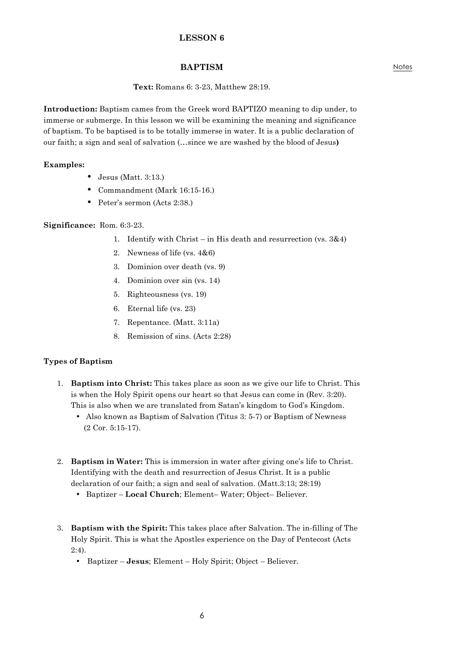# **BAPTISM**

## **Text:** Romans 6: 3-23, Matthew 28:19.

**Introduction:** Baptism cames from the Greek word BAPTIZO meaning to dip under, to immerse or submerge. In this lesson we will be examining the meaning and significance of baptism. To be baptised is to be totally immerse in water. It is a public declaration of our faith; a sign and seal of salvation (…since we are washed by the blood of Jesus**)**

### **Examples:**

- Jesus (Matt. 3:13.)
- Commandment (Mark 16:15-16.)
- Peter's sermon (Acts 2:38.)

### **Significance:** Rom. 6:3-23.

- 1. Identify with Christ in His death and resurrection (vs. 3&4)
- 2. Newness of life (vs. 4&6)
- 3. Dominion over death (vs. 9)
- 4. Dominion over sin (vs. 14)
- 5. Righteousness (vs. 19)
- 6. Eternal life (vs. 23)
- 7. Repentance. (Matt. 3:11a)
- 8. Remission of sins. (Acts 2:28)

## **Types of Baptism**

- 1. **Baptism into Christ:** This takes place as soon as we give our life to Christ. This is when the Holy Spirit opens our heart so that Jesus can come in (Rev. 3:20). This is also when we are translated from Satan's kingdom to God's Kingdom.
	- Also known as Baptism of Salvation (Titus 3: 5-7) or Baptism of Newness (2 Cor. 5:15-17).
- 2. **Baptism in Water:** This is immersion in water after giving one's life to Christ. Identifying with the death and resurrection of Jesus Christ. It is a public declaration of our faith; a sign and seal of salvation. (Matt.3:13; 28:19)
	- Baptizer **Local Church**; Element– Water; Object– Believer.
- 3. **Baptism with the Spirit:** This takes place after Salvation. The in-filling of The Holy Spirit. This is what the Apostles experience on the Day of Pentecost (Acts 2:4).
	- Baptizer **Jesus**; Element Holy Spirit; Object Believer.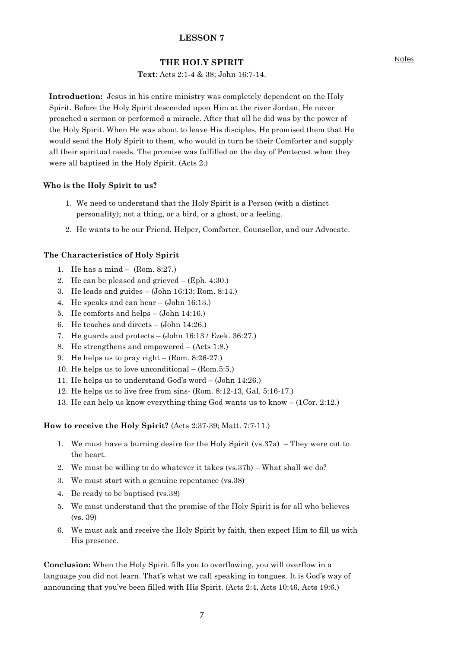## **THE HOLY SPIRIT**

### **Text**: Acts 2:1-4 & 38; John 16:7-14.

**Introduction:** Jesus in his entire ministry was completely dependent on the Holy Spirit. Before the Holy Spirit descended upon Him at the river Jordan, He never preached a sermon or performed a miracle. After that all he did was by the power of the Holy Spirit. When He was about to leave His disciples, He promised them that He would send the Holy Spirit to them, who would in turn be their Comforter and supply all their spiritual needs. The promise was fulfilled on the day of Pentecost when they were all baptised in the Holy Spirit. (Acts 2.)

### **Who is the Holy Spirit to us?**

- 1. We need to understand that the Holy Spirit is a Person (with a distinct personality); not a thing, or a bird, or a ghost, or a feeling.
- 2. He wants to be our Friend, Helper, Comforter, Counsellor, and our Advocate.

### **The Characteristics of Holy Spirit**

- 1. He has a mind (Rom. 8:27.)
- 2. He can be pleased and grieved (Eph. 4:30.)
- 3. He leads and guides (John 16:13; Rom. 8:14.)
- 4. He speaks and can hear (John 16:13.)
- 5. He comforts and helps (John 14:16.)
- 6. He teaches and directs (John 14:26.)
- 7. He guards and protects (John 16:13 / Ezek. 36:27.)
- 8. He strengthens and empowered (Acts 1:8.)
- 9. He helps us to pray right (Rom. 8:26-27.)
- 10. He helps us to love unconditional (Rom.5:5.)
- 11. He helps us to understand God's word (John 14:26.)
- 12. He helps us to live free from sins- (Rom. 8:12-13, Gal. 5:16-17.)
- 13. He can help us know everything thing God wants us to know (1Cor. 2:12.)

### **How to receive the Holy Spirit?** (Acts 2:37-39; Matt. 7:7-11.)

- 1. We must have a burning desire for the Holy Spirit (vs.37a) They were cut to the heart.
- 2. We must be willing to do whatever it takes (vs.37b) What shall we do?
- 3. We must start with a genuine repentance (vs.38)
- 4. Be ready to be baptised (vs.38)
- 5. We must understand that the promise of the Holy Spirit is for all who believes (vs. 39)
- 6. We must ask and receive the Holy Spirit by faith, then expect Him to fill us with His presence.

**Conclusion:** When the Holy Spirit fills you to overflowing, you will overflow in a language you did not learn. That's what we call speaking in tongues. It is God's way of announcing that you've been filled with His Spirit. (Acts 2:4, Acts 10:46, Acts 19:6.)